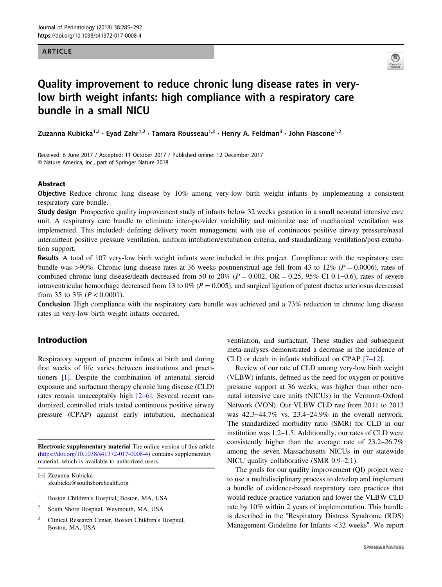#### ARTICLE



# Quality improvement to reduce chronic lung disease rates in verylow birth weight infants: high compliance with a respiratory care bundle in a small NICU

Zuzanna Kubicka<sup>1,2</sup> • Evad Zahr<sup>1,2</sup> • Tamara Rousseau<sup>1,2</sup> • Henry A. Feldman<sup>3</sup> • John Fiascone<sup>1,2</sup>

Received: 6 June 2017 / Accepted: 11 October 2017 / Published online: 12 December 2017 © Nature America, Inc., part of Springer Nature 2018

#### Abstract

Objective Reduce chronic lung disease by 10% among very-low birth weight infants by implementing a consistent respiratory care bundle.

Study design Prospective quality improvement study of infants below 32 weeks gestation in a small neonatal intensive care unit. A respiratory care bundle to eliminate inter-provider variability and minimize use of mechanical ventilation was implemented. This included: defining delivery room management with use of continuous positive airway pressure/nasal intermittent positive pressure ventilation, uniform intubation/extubation criteria, and standardizing ventilation/post-extubation support.

Results A total of 107 very-low birth weight infants were included in this project. Compliance with the respiratory care bundle was >90%. Chronic lung disease rates at 36 weeks postmenstrual age fell from 43 to 12% ( $P = 0.0006$ ), rates of combined chronic lung disease/death decreased from 50 to 20% ( $P = 0.002$ , OR  $= 0.25$ , 95% CI 0.1–0.6), rates of severe intraventricular hemorrhage decreased from 13 to 0% ( $P = 0.005$ ), and surgical ligation of patent ductus arteriosus decreased from 35 to 3% ( $P < 0.0001$ ).

Conclusion High compliance with the respiratory care bundle was achieved and a 73% reduction in chronic lung disease rates in very-low birth weight infants occurred.

# Introduction

Respiratory support of preterm infants at birth and during first weeks of life varies between institutions and practitioners [\[1](#page-7-0)]. Despite the combination of antenatal steroid exposure and surfactant therapy chronic lung disease (CLD) rates remain unacceptably high [[2](#page-7-0)–[6\]](#page-7-0). Several recent randomized, controlled trials tested continuous positive airway pressure (CPAP) against early intubation, mechanical

Electronic supplementary material The online version of this article ([https://doi.org/10.1038/s41372-017-0008-4\)](http://dx.doi.org/10.1038/s41372-017-0008-4) contains supplementary material, which is available to authorized users.

 $\boxtimes$  Zuzanna Kubicka [zkubicka@southshorehealth.org](mailto:zkubicka@southshorehealth.org)

- <sup>1</sup> Boston Children's Hospital, Boston, MA, USA
- <sup>2</sup> South Shore Hospital, Weymouth, MA, USA
- <sup>3</sup> Clinical Research Center, Boston Children's Hospital, Boston, MA, USA

ventilation, and surfactant. These studies and subsequent meta-analyses demonstrated a decrease in the incidence of CLD or death in infants stabilized on CPAP [[7](#page-7-0)–[12\]](#page-7-0).

Review of our rate of CLD among very-low birth weight (VLBW) infants, defined as the need for oxygen or positive pressure support at 36 weeks, was higher than other neonatal intensive care units (NICUs) in the Vermont-Oxford Network (VON). Our VLBW CLD rate from 2011 to 2013 was 42.3–44.7% vs. 23.4–24.9% in the overall network. The standardized morbidity ratio (SMR) for CLD in our institution was 1.2–1.5. Additionally, our rates of CLD were consistently higher than the average rate of 23.2–26.7% among the seven Massachusetts NICUs in our statewide NICU quality collaborative (SMR 0.9–2.1).

The goals for our quality improvement (QI) project were to use a multidisciplinary process to develop and implement a bundle of evidence-based respiratory care practices that would reduce practice variation and lower the VLBW CLD rate by 10% within 2 years of implementation. This bundle is described in the "Respiratory Distress Syndrome (RDS) Management Guideline for Infants <32 weeks". We report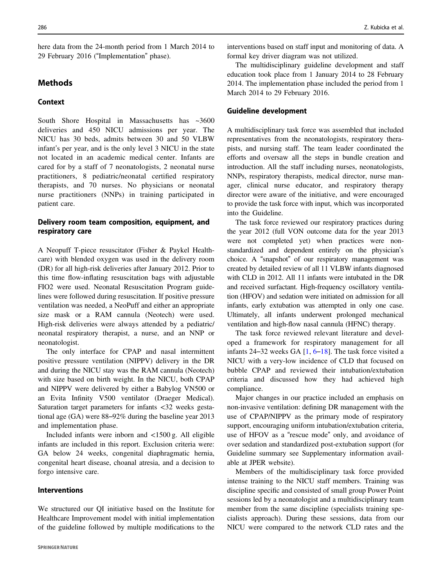here data from the 24-month period from 1 March 2014 to 29 February 2016 ("Implementation" phase).

# Methods

# Context

South Shore Hospital in Massachusetts has ~3600 deliveries and 450 NICU admissions per year. The NICU has 30 beds, admits between 30 and 50 VLBW infant's per year, and is the only level 3 NICU in the state not located in an academic medical center. Infants are cared for by a staff of 7 neonatologists, 2 neonatal nurse practitioners, 8 pediatric/neonatal certified respiratory therapists, and 70 nurses. No physicians or neonatal nurse practitioners (NNPs) in training participated in patient care.

## Delivery room team composition, equipment, and respiratory care

A Neopuff T-piece resuscitator (Fisher & Paykel Healthcare) with blended oxygen was used in the delivery room (DR) for all high-risk deliveries after January 2012. Prior to this time flow-inflating resuscitation bags with adjustable FIO2 were used. Neonatal Resuscitation Program guidelines were followed during resuscitation. If positive pressure ventilation was needed, a NeoPuff and either an appropriate size mask or a RAM cannula (Neotech) were used. High-risk deliveries were always attended by a pediatric/ neonatal respiratory therapist, a nurse, and an NNP or neonatologist.

The only interface for CPAP and nasal intermittent positive pressure ventilation (NIPPV) delivery in the DR and during the NICU stay was the RAM cannula (Neotech) with size based on birth weight. In the NICU, both CPAP and NIPPV were delivered by either a Babylog VN500 or an Evita Infinity V500 ventilator (Draeger Medical). Saturation target parameters for infants <32 weeks gestational age (GA) were 88–92% during the baseline year 2013 and implementation phase.

Included infants were inborn and  $\langle 1500 \text{ g}$ . All eligible infants are included in this report. Exclusion criteria were: GA below 24 weeks, congenital diaphragmatic hernia, congenital heart disease, choanal atresia, and a decision to forgo intensive care.

### Interventions

We structured our QI initiative based on the Institute for Healthcare Improvement model with initial implementation of the guideline followed by multiple modifications to the interventions based on staff input and monitoring of data. A formal key driver diagram was not utilized.

The multidisciplinary guideline development and staff education took place from 1 January 2014 to 28 February 2014. The implementation phase included the period from 1 March 2014 to 29 February 2016.

#### Guideline development

A multidisciplinary task force was assembled that included representatives from the neonatologists, respiratory therapists, and nursing staff. The team leader coordinated the efforts and oversaw all the steps in bundle creation and introduction. All the staff including nurses, neonatologists, NNPs, respiratory therapists, medical director, nurse manager, clinical nurse educator, and respiratory therapy director were aware of the initiative, and were encouraged to provide the task force with input, which was incorporated into the Guideline.

The task force reviewed our respiratory practices during the year 2012 (full VON outcome data for the year 2013 were not completed yet) when practices were nonstandardized and dependent entirely on the physician's choice. A "snapshot" of our respiratory management was created by detailed review of all 11 VLBW infants diagnosed with CLD in 2012. All 11 infants were intubated in the DR and received surfactant. High-frequency oscillatory ventilation (HFOV) and sedation were initiated on admission for all infants, early extubation was attempted in only one case. Ultimately, all infants underwent prolonged mechanical ventilation and high-flow nasal cannula (HFNC) therapy.

The task force reviewed relevant literature and developed a framework for respiratory management for all infants 24–32 weeks GA [[1,](#page-7-0) [6](#page-7-0)–[18](#page-7-0)]. The task force visited a NICU with a very-low incidence of CLD that focused on bubble CPAP and reviewed their intubation/extubation criteria and discussed how they had achieved high compliance.

Major changes in our practice included an emphasis on non-invasive ventilation: defining DR management with the use of CPAP/NIPPV as the primary mode of respiratory support, encouraging uniform intubation/extubation criteria, use of HFOV as a "rescue mode" only, and avoidance of over sedation and standardized post-extubation support (for Guideline summary see Supplementary information available at JPER website).

Members of the multidisciplinary task force provided intense training to the NICU staff members. Training was discipline specific and consisted of small group Power Point sessions led by a neonatologist and a multidisciplinary team member from the same discipline (specialists training specialists approach). During these sessions, data from our NICU were compared to the network CLD rates and the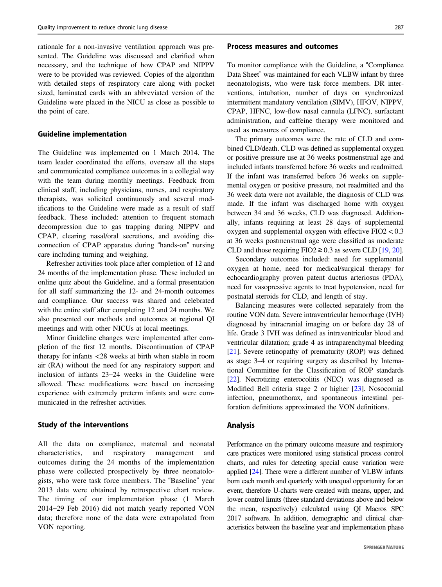rationale for a non-invasive ventilation approach was presented. The Guideline was discussed and clarified when necessary, and the technique of how CPAP and NIPPV were to be provided was reviewed. Copies of the algorithm with detailed steps of respiratory care along with pocket sized, laminated cards with an abbreviated version of the Guideline were placed in the NICU as close as possible to the point of care.

#### Guideline implementation

The Guideline was implemented on 1 March 2014. The team leader coordinated the efforts, oversaw all the steps and communicated compliance outcomes in a collegial way with the team during monthly meetings. Feedback from clinical staff, including physicians, nurses, and respiratory therapists, was solicited continuously and several modifications to the Guideline were made as a result of staff feedback. These included: attention to frequent stomach decompression due to gas trapping during NIPPV and CPAP, clearing nasal/oral secretions, and avoiding disconnection of CPAP apparatus during "hands-on" nursing care including turning and weighing.

Refresher activities took place after completion of 12 and 24 months of the implementation phase. These included an online quiz about the Guideline, and a formal presentation for all staff summarizing the 12- and 24-month outcomes and compliance. Our success was shared and celebrated with the entire staff after completing 12 and 24 months. We also presented our methods and outcomes at regional QI meetings and with other NICUs at local meetings.

Minor Guideline changes were implemented after completion of the first 12 months. Discontinuation of CPAP therapy for infants <28 weeks at birth when stable in room air (RA) without the need for any respiratory support and inclusion of infants 23–24 weeks in the Guideline were allowed. These modifications were based on increasing experience with extremely preterm infants and were communicated in the refresher activities.

#### Study of the interventions

All the data on compliance, maternal and neonatal characteristics, and respiratory management and outcomes during the 24 months of the implementation phase were collected prospectively by three neonatologists, who were task force members. The "Baseline" year 2013 data were obtained by retrospective chart review. The timing of our implementation phase (1 March 2014–29 Feb 2016) did not match yearly reported VON data; therefore none of the data were extrapolated from VON reporting.

#### Process measures and outcomes

To monitor compliance with the Guideline, a "Compliance Data Sheet" was maintained for each VLBW infant by three neonatologists, who were task force members. DR interventions, intubation, number of days on synchronized intermittent mandatory ventilation (SIMV), HFOV, NIPPV, CPAP, HFNC, low-flow nasal cannula (LFNC), surfactant administration, and caffeine therapy were monitored and used as measures of compliance.

The primary outcomes were the rate of CLD and combined CLD/death. CLD was defined as supplemental oxygen or positive pressure use at 36 weeks postmenstrual age and included infants transferred before 36 weeks and readmitted. If the infant was transferred before 36 weeks on supplemental oxygen or positive pressure, not readmitted and the 36 week data were not available, the diagnosis of CLD was made. If the infant was discharged home with oxygen between 34 and 36 weeks, CLD was diagnosed. Additionally, infants requiring at least 28 days of supplemental oxygen and supplemental oxygen with effective  $FIO2 < 0.3$ at 36 weeks postmenstrual age were classified as moderate CLD and those requiring FIO2  $\geq$  0.3 as severe CLD [\[19,](#page-7-0) [20\]](#page-7-0).

Secondary outcomes included: need for supplemental oxygen at home, need for medical/surgical therapy for echocardiography proven patent ductus arteriosus (PDA), need for vasopressive agents to treat hypotension, need for postnatal steroids for CLD, and length of stay.

Balancing measures were collected separately from the routine VON data. Severe intraventricular hemorrhage (IVH) diagnosed by intracranial imaging on or before day 28 of life. Grade 3 IVH was defined as intraventricular blood and ventricular dilatation; grade 4 as intraparenchymal bleeding [\[21](#page-7-0)]. Severe retinopathy of prematurity (ROP) was defined as stage 3–4 or requiring surgery as described by International Committee for the Classification of ROP standards [\[22](#page-7-0)]. Necrotizing enterocolitis (NEC) was diagnosed as Modified Bell criteria stage 2 or higher [\[23](#page-7-0)]. Nosocomial infection, pneumothorax, and spontaneous intestinal perforation definitions approximated the VON definitions.

#### Analysis

Performance on the primary outcome measure and respiratory care practices were monitored using statistical process control charts, and rules for detecting special cause variation were applied [[24](#page-7-0)]. There were a different number of VLBW infants born each month and quarterly with unequal opportunity for an event, therefore U-charts were created with means, upper, and lower control limits (three standard deviations above and below the mean, respectively) calculated using QI Macros SPC 2017 software. In addition, demographic and clinical characteristics between the baseline year and implementation phase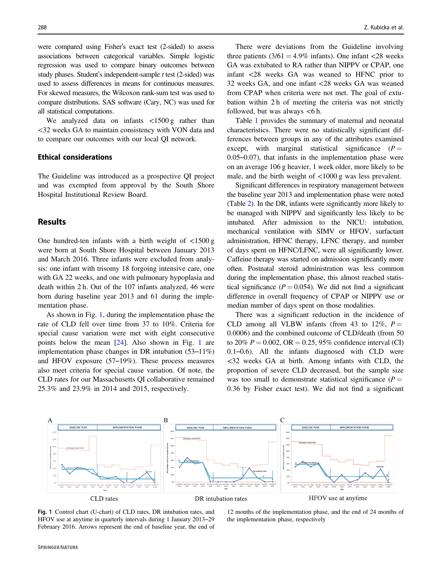were compared using Fisher's exact test (2-sided) to assess associations between categorical variables. Simple logistic regression was used to compare binary outcomes between study phases. Student's independent-sample t test (2-sided) was used to assess differences in means for continuous measures. For skewed measures, the Wilcoxon rank-sum test was used to compare distributions. SAS software (Cary, NC) was used for all statistical computations.

We analyzed data on infants <1500 g rather than <32 weeks GA to maintain consistency with VON data and to compare our outcomes with our local QI network.

#### Ethical considerations

The Guideline was introduced as a prospective QI project and was exempted from approval by the South Shore Hospital Institutional Review Board.

# **Results**

One hundred-ten infants with a birth weight of  $\langle 1500 \text{ g} \rangle$ were born at South Shore Hospital between January 2013 and March 2016. Three infants were excluded from analysis: one infant with trisomy 18 forgoing intensive care, one with GA 22 weeks, and one with pulmonary hypoplasia and death within 2 h. Out of the 107 infants analyzed, 46 were born during baseline year 2013 and 61 during the implementation phase.

As shown in Fig. 1, during the implementation phase the rate of CLD fell over time from 37 to 10%. Criteria for special cause variation were met with eight consecutive points below the mean [\[24](#page-7-0)]. Also shown in Fig. 1 are implementation phase changes in DR intubation (53–11%) and HFOV exposure (57–19%). These process measures also meet criteria for special cause variation. Of note, the CLD rates for our Massachusetts QI collaborative remained 25.3% and 23.9% in 2014 and 2015, respectively.

There were deviations from the Guideline involving three patients  $(3/61 = 4.9\%$  infants). One infant <28 weeks GA was extubated to RA rather than NIPPV or CPAP, one infant <28 weeks GA was weaned to HFNC prior to 32 weeks GA, and one infant <28 weeks GA was weaned from CPAP when criteria were not met. The goal of extubation within 2 h of meeting the criteria was not strictly followed, but was always  $<6$  h.

Table [1](#page-4-0) provides the summary of maternal and neonatal characteristics. There were no statistically significant differences between groups in any of the attributes examined except, with marginal statistical significance  $(P =$ 0.05–0.07), that infants in the implementation phase were on an average 106 g heavier, 1 week older, more likely to be male, and the birth weight of <1000 g was less prevalent.

Significant differences in respiratory management between the baseline year 2013 and implementation phase were noted (Table [2\)](#page-4-0). In the DR, infants were significantly more likely to be managed with NIPPV and significantly less likely to be intubated. After admission to the NICU: intubation, mechanical ventilation with SIMV or HFOV, surfactant administration, HFNC therapy, LFNC therapy, and number of days spent on HFNC/LFNC, were all significantly lower. Caffeine therapy was started on admission significantly more often. Postnatal steroid administration was less common during the implementation phase, this almost reached statistical significance ( $P = 0.054$ ). We did not find a significant difference in overall frequency of CPAP or NIPPV use or median number of days spent on those modalities.

There was a significant reduction in the incidence of CLD among all VLBW infants (from 43 to 12%,  $P =$ 0.0006) and the combined outcome of CLD/death (from 50 to 20%  $P = 0.002$ , OR  $= 0.25$ , 95% confidence interval (CI) 0.1–0.6). All the infants diagnosed with CLD were <32 weeks GA at birth. Among infants with CLD, the proportion of severe CLD decreased, but the sample size was too small to demonstrate statistical significance  $(P =$ 0.36 by Fisher exact test). We did not find a significant



Fig. 1 Control chart (U-chart) of CLD rates, DR intubation rates, and HFOV use at anytime in quarterly intervals during 1 January 2013–29 February 2016. Arrows represent the end of baseline year, the end of

12 months of the implementation phase, and the end of 24 months of the implementation phase, respectively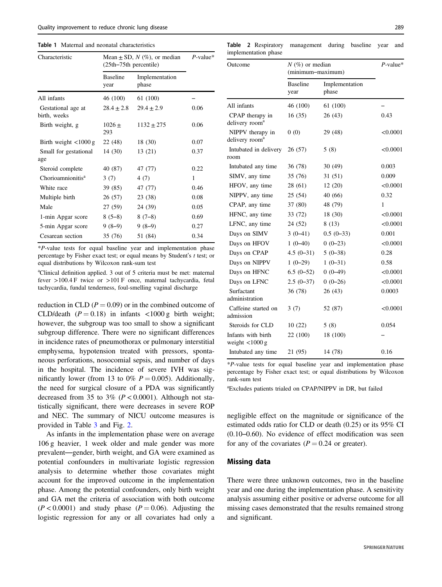<span id="page-4-0"></span>

| Table 1 Maternal and neonatal characteristics |  |
|-----------------------------------------------|--|
|-----------------------------------------------|--|

| Characteristic                        | Mean $\pm$ SD, N (%), or median<br>(25th–75th percentile) |                         | $P$ -value* |
|---------------------------------------|-----------------------------------------------------------|-------------------------|-------------|
|                                       | <b>Baseline</b><br>year                                   | Implementation<br>phase |             |
| All infants                           | 46 (100)                                                  | 61 (100)                |             |
| Gestational age at<br>birth, weeks    | $28.4 + 2.8$                                              | $29.4 + 2.9$            | 0.06        |
| Birth weight, g                       | $1026+$<br>293                                            | $1132 \pm 275$          | 0.06        |
| Birth weight $\langle 1000 \text{ g}$ | 22 (48)                                                   | 18 (30)                 | 0.07        |
| Small for gestational<br>age          | 14(30)                                                    | 13 (21)                 | 0.37        |
| Steroid complete                      | 40 (87)                                                   | 47 (77)                 | 0.22        |
| Chorioamnionitis <sup>a</sup>         | 3(7)                                                      | 4(7)                    | 1           |
| White race                            | 39 (85)                                                   | 47 (77)                 | 0.46        |
| Multiple birth                        | 26 (57)                                                   | 23 (38)                 | 0.08        |
| Male                                  | 27 (59)                                                   | 24 (39)                 | 0.05        |
| 1-min Apgar score                     | $8(5-8)$                                                  | $8(7-8)$                | 0.69        |
| 5-min Apgar score                     | $9(8-9)$                                                  | $9(8-9)$                | 0.27        |
| Cesarean section                      | 35 (76)                                                   | 51 (84)                 | 0.34        |

\*P-value tests for equal baseline year and implementation phase percentage by Fisher exact test; or equal means by Student's t test; or equal distributions by Wilcoxon rank-sum test

<sup>a</sup>Clinical definition applied. 3 out of 5 criteria must be met: maternal fever >100.4 F twice or >101 F once, maternal tachycardia, fetal tachycardia, fundal tenderness, foul-smelling vaginal discharge

reduction in CLD ( $P = 0.09$ ) or in the combined outcome of CLD/death  $(P = 0.18)$  in infants <1000 g birth weight; however, the subgroup was too small to show a significant subgroup difference. There were no significant differences in incidence rates of pneumothorax or pulmonary interstitial emphysema, hypotension treated with pressors, spontaneous perforations, nosocomial sepsis, and number of days in the hospital. The incidence of severe IVH was significantly lower (from 13 to 0%  $P = 0.005$ ). Additionally, the need for surgical closure of a PDA was significantly decreased from 35 to 3% ( $P < 0.0001$ ). Although not statistically significant, there were decreases in severe ROP and NEC. The summary of NICU outcome measures is provided in Table [3](#page-5-0) and Fig. [2](#page-6-0).

As infants in the implementation phase were on average 106 g heavier, 1 week older and male gender was more prevalent—gender, birth weight, and GA were examined as potential confounders in multivariate logistic regression analysis to determine whether those covariates might account for the improved outcome in the implementation phase. Among the potential confounders, only birth weight and GA met the criteria of association with both outcome  $(P<0.0001)$  and study phase  $(P=0.06)$ . Adjusting the logistic regression for any or all covariates had only a

Table 2 Respiratory management during baseline year and implementation phase

| Outcome                                               | $N(\%)$ or median<br>(minimum-maximum) |                         | $P$ -value* |
|-------------------------------------------------------|----------------------------------------|-------------------------|-------------|
|                                                       | <b>Baseline</b><br>year                | Implementation<br>phase |             |
| All infants                                           | 46 (100)                               | 61 (100)                |             |
| CPAP therapy in<br>delivery room <sup>a</sup>         | 16(35)                                 | 26(43)                  | 0.43        |
| NIPPV therapy in<br>delivery room <sup>a</sup>        | 0(0)                                   | 29 (48)                 | < 0.0001    |
| Intubated in delivery<br>room                         | 26(57)                                 | 5(8)                    | < 0.0001    |
| Intubated any time                                    | 36 (78)                                | 30(49)                  | 0.003       |
| SIMV, any time                                        | 35(76)                                 | 31 (51)                 | 0.009       |
| HFOV, any time                                        | 28 (61)                                | 12(20)                  | < 0.0001    |
| NIPPV, any time                                       | 25(54)                                 | 40 (66)                 | 0.32        |
| CPAP, any time                                        | 37 (80)                                | 48 (79)                 | 1           |
| HFNC, any time                                        | 33 (72)                                | 18 (30)                 | < 0.0001    |
| LFNC, any time                                        | 24 (52)                                | 8(13)                   | < 0.0001    |
| Days on SIMV                                          | $3(0-41)$                              | $0.5(0-33)$             | 0.001       |
| Days on HFOV                                          | $1(0-40)$                              | $0(0-23)$               | < 0.0001    |
| Days on CPAP                                          | $4.5(0-31)$                            | $5(0-38)$               | 0.28        |
| Days on NIPPV                                         | $1(0-29)$                              | $1(0-31)$               | 0.58        |
| Days on HFNC                                          | $6.5(0-52)$                            | $0(0-49)$               | < 0.0001    |
| Days on LFNC                                          | $2.5(0-37)$                            | $0(0-26)$               | < 0.0001    |
| Surfactant<br>administration                          | 36 (78)                                | 26 (43)                 | 0.0003      |
| Caffeine started on<br>admission                      | 3(7)                                   | 52 (87)                 | < 0.0001    |
| Steroids for CLD                                      | 10(22)                                 | 5(8)                    | 0.054       |
| Infants with birth<br>weight $\langle 1000 \text{ g}$ | 22 (100)                               | 18 (100)                |             |
| Intubated any time                                    | 21 (95)                                | 14 (78)                 | 0.16        |

\*P-value tests for equal baseline year and implementation phase percentage by Fisher exact test; or equal distributions by Wilcoxon rank-sum test

a Excludes patients trialed on CPAP/NIPPV in DR, but failed

negligible effect on the magnitude or significance of the estimated odds ratio for CLD or death (0.25) or its 95% CI (0.10–0.60). No evidence of effect modification was seen for any of the covariates ( $P = 0.24$  or greater).

#### Missing data

There were three unknown outcomes, two in the baseline year and one during the implementation phase. A sensitivity analysis assuming either positive or adverse outcome for all missing cases demonstrated that the results remained strong and significant.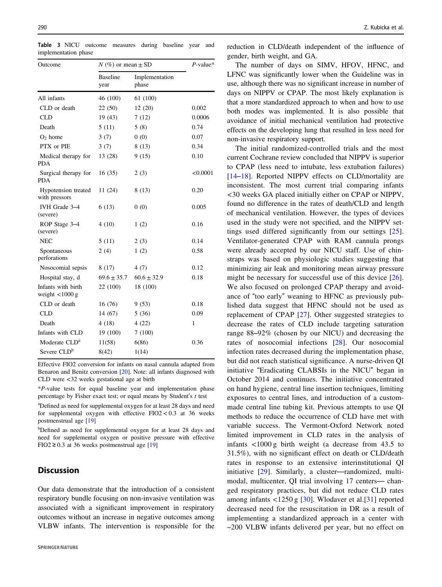| Outcome                                 | $N$ (%) or mean $\pm$ SD |                         | $P$ -value* |
|-----------------------------------------|--------------------------|-------------------------|-------------|
|                                         | <b>Baseline</b><br>year  | Implementation<br>phase |             |
| All infants                             | 46 (100)                 | 61 (100)                |             |
| CLD or death                            | 22(50)                   | 12(20)                  | 0.002       |
| <b>CLD</b>                              | 19(43)                   | 7(12)                   | 0.0006      |
| Death                                   | 5(11)                    | 5(8)                    | 0.74        |
| $O2$ home                               | 3(7)                     | 0(0)                    | 0.07        |
| PTX or PIE                              | 3(7)                     | 8(13)                   | 0.34        |
| Medical therapy for<br><b>PDA</b>       | 13 (28)                  | 9(15)                   | 0.10        |
| Surgical therapy for<br><b>PDA</b>      | 16(35)                   | 2(3)                    | < 0.0001    |
| Hypotension treated<br>with pressors    | 11 (24)                  | 8(13)                   | 0.20        |
| IVH Grade 3-4<br>(severe)               | 6(13)                    | 0(0)                    | 0.005       |
| ROP Stage 3-4<br>(severe)               | 4(10)                    | 1(2)                    | 0.16        |
| <b>NEC</b>                              | 5(11)                    | 2(3)                    | 0.14        |
| Spontaneous<br>perforations             | 2(4)                     | 1(2)                    | 0.58        |
| Nosocomial sepsis                       | 8(17)                    | 4(7)                    | 0.12        |
| Hospital stay, d                        | $69.6 \pm 35.7$          | $60.6 \pm 32.9$         | 0.18        |
| Infants with birth<br>weight $<$ 1000 g | 22 (100)                 | 18 (100)                |             |
| CLD or death                            | 16(76)                   | 9(53)                   | 0.18        |
| <b>CLD</b>                              | 14 (67)                  | 5(36)                   | 0.09        |
| Death                                   | 4 (18)                   | 4(22)                   | 1           |
| Infants with CLD                        | 19 (100)                 | 7(100)                  |             |
| Moderate $CLDa$                         | 11(58)                   | 6(86)                   | 0.36        |
| Severe CLD <sup>b</sup>                 | 8(42)                    | 1(14)                   |             |

<span id="page-5-0"></span>Table 3 NICU outcome measures during baseline year and implementation phase

Effective FIO2 conversion for infants on nasal cannula adapted from Benaron and Benitz conversion [[20](#page-7-0)]. Note: all infants diagnosed with CLD were <32 weeks gestational age at birth

\*P-value tests for equal baseline year and implementation phase percentage by Fisher exact test; or equal means by Student's t test

<sup>a</sup>Defined as need for supplemental oxygen for at least 28 days and need for supplemental oxygen with effective  $FIO2 < 0.3$  at 36 weeks postmenstrual age [\[19\]](#page-7-0)

bDefined as need for supplemental oxygen for at least 28 days and need for supplemental oxygen or positive pressure with effective FIO2  $\geq$  0.3 at 36 weeks postmenstrual age [\[19\]](#page-7-0)

# **Discussion**

Our data demonstrate that the introduction of a consistent respiratory bundle focusing on non-invasive ventilation was associated with a significant improvement in respiratory outcomes without an increase in negative outcomes among VLBW infants. The intervention is responsible for the reduction in CLD/death independent of the influence of gender, birth weight, and GA.

The number of days on SIMV, HFOV, HFNC, and LFNC was significantly lower when the Guideline was in use, although there was no significant increase in number of days on NIPPV or CPAP. The most likely explanation is that a more standardized approach to when and how to use both modes was implemented. It is also possible that avoidance of initial mechanical ventilation had protective effects on the developing lung that resulted in less need for non-invasive respiratory support.

The initial randomized-controlled trials and the most current Cochrane review concluded that NIPPV is superior to CPAP (less need to intubate, less extubation failures) [\[14](#page-7-0)–[18\]](#page-7-0). Reported NIPPV effects on CLD/mortality are inconsistent. The most current trial comparing infants <30 weeks GA placed initially either on CPAP or NIPPV, found no difference in the rates of death/CLD and length of mechanical ventilation. However, the types of devices used in the study were not specified, and the NIPPV settings used differed significantly from our settings [\[25](#page-7-0)]. Ventilator-generated CPAP with RAM cannula prongs were already accepted by our NICU staff. Use of chinstraps was based on physiologic studies suggesting that minimizing air leak and monitoring mean airway pressure might be necessary for successful use of this device [\[26](#page-7-0)]. We also focused on prolonged CPAP therapy and avoidance of "too early" weaning to HFNC as previously published data suggest that HFNC should not be used as replacement of CPAP [[27](#page-7-0)]. Other suggested strategies to decrease the rates of CLD include targeting saturation range 88–92% (chosen by our NICU) and decreasing the rates of nosocomial infections [[28\]](#page-7-0). Our nosocomial infection rates decreased during the implementation phase, but did not reach statistical significance. A nurse-driven QI initiative "Eradicating CLABSIs in the NICU" began in October 2014 and continues. The initiative concentrated on hand hygiene, central line insertion techniques, limiting exposures to central lines, and introduction of a custommade central line tubing kit. Previous attempts to use QI methods to reduce the occurrence of CLD have met with variable success. The Vermont-Oxford Network noted limited improvement in CLD rates in the analysis of infants <1000 g birth weight (a decrease from 43.5 to 31.5%), with no significant effect on death or CLD/death rates in response to an extensive interinstitutional QI initiative [[29\]](#page-7-0). Similarly, a cluster—randomized, multimodal, multicenter, QI trial involving 17 centers— changed respiratory practices, but did not reduce CLD rates among infants <1250 g [\[30](#page-7-0)]. Wlodaver et al.[[31](#page-7-0)] reported decreased need for the resuscitation in DR as a result of implementing a standardized approach in a center with ~200 VLBW infants delivered per year, but no effect on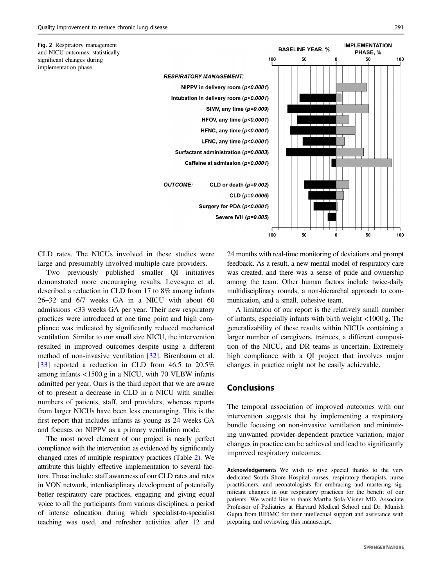<span id="page-6-0"></span>

CLD rates. The NICUs involved in these studies were large and presumably involved multiple care providers.

Two previously published smaller QI initiatives demonstrated more encouraging results. Levesque et al. described a reduction in CLD from 17 to 8% among infants 26–32 and 6/7 weeks GA in a NICU with about 60 admissions <33 weeks GA per year. Their new respiratory practices were introduced at one time point and high compliance was indicated by significantly reduced mechanical ventilation. Similar to our small size NICU, the intervention resulted in improved outcomes despite using a different method of non-invasive ventilation [\[32](#page-7-0)]. Birenbaum et al. [\[33](#page-7-0)] reported a reduction in CLD from 46.5 to 20.5% among infants <1500 g in a NICU, with 70 VLBW infants admitted per year. Ours is the third report that we are aware of to present a decrease in CLD in a NICU with smaller numbers of patients, staff, and providers, whereas reports from larger NICUs have been less encouraging. This is the first report that includes infants as young as 24 weeks GA and focuses on NIPPV as a primary ventilation mode.

The most novel element of our project is nearly perfect compliance with the intervention as evidenced by significantly changed rates of multiple respiratory practices (Table [2\)](#page-4-0). We attribute this highly effective implementation to several factors. Those include: staff awareness of our CLD rates and rates in VON network, interdisciplinary development of potentially better respiratory care practices, engaging and giving equal voice to all the participants from various disciplines, a period of intense education during which specialist-to-specialist teaching was used, and refresher activities after 12 and 24 months with real-time monitoring of deviations and prompt feedback. As a result, a new mental model of respiratory care was created, and there was a sense of pride and ownership among the team. Other human factors include twice-daily multidisciplinary rounds, a non-hierarchal approach to communication, and a small, cohesive team.

A limitation of our report is the relatively small number of infants, especially infants with birth weight <1000 g. The generalizability of these results within NICUs containing a larger number of caregivers, trainees, a different composition of the NICU, and DR teams is uncertain. Extremely high compliance with a QI project that involves major changes in practice might not be easily achievable.

# Conclusions

The temporal association of improved outcomes with our intervention suggests that by implementing a respiratory bundle focusing on non-invasive ventilation and minimizing unwanted provider-dependent practice variation, major changes in practice can be achieved and lead to significantly improved respiratory outcomes.

Acknowledgements We wish to give special thanks to the very dedicated South Shore Hospital nurses, respiratory therapists, nurse practitioners, and neonatologists for embracing and mastering significant changes in our respiratory practices for the benefit of our patients. We would like to thank Martha Sola-Visner MD, Associate Professor of Pediatrics at Harvard Medical School and Dr. Munish Gupta from BIDMC for their intellectual support and assistance with preparing and reviewing this manuscript.